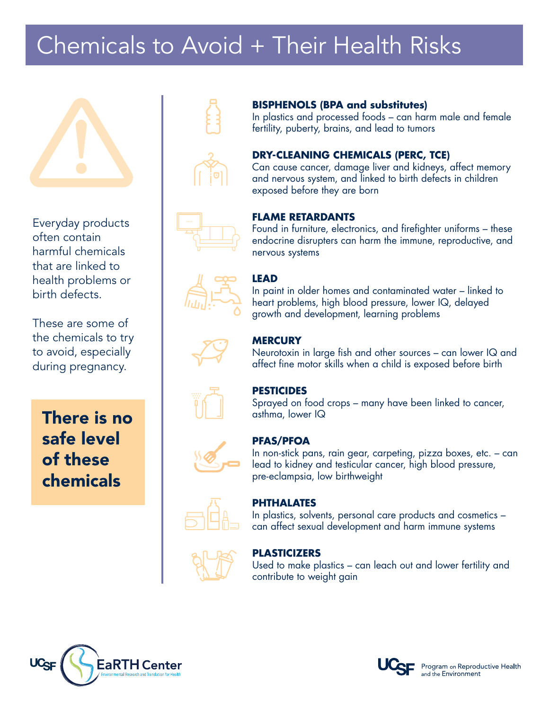# Chemicals to Avoid + Their Health Risks



Everyday products often contain harmful chemicals that are linked to health problems or birth defects.

These are some of the chemicals to try to avoid, especially during pregnancy.

There is no safe level of these chemicals















### **BISPHENOLS (BPA and substitutes)**

In plastics and processed foods – can harm male and female fertility, puberty, brains, and lead to tumors

#### **DRY-CLEANING CHEMICALS (PERC, TCE)**

Can cause cancer, damage liver and kidneys, affect memory and nervous system, and linked to birth defects in children exposed before they are born

### **FLAME RETARDANTS**

Found in furniture, electronics, and firefighter uniforms – these endocrine disrupters can harm the immune, reproductive, and nervous systems

### **LEAD**

In paint in older homes and contaminated water – linked to heart problems, high blood pressure, lower IQ, delayed growth and development, learning problems

#### **MERCURY**

Neurotoxin in large fish and other sources – can lower IQ and affect fine motor skills when a child is exposed before birth

#### **PESTICIDES**

Sprayed on food crops – many have been linked to cancer, asthma, lower IQ

#### **PFAS/PFOA**

In non-stick pans, rain gear, carpeting, pizza boxes, etc. – can lead to kidney and testicular cancer, high blood pressure, pre-eclampsia, low birthweight

#### **PHTHALATES**

In plastics, solvents, personal care products and cosmetics – can affect sexual development and harm immune systems

#### **PLASTICIZERS**

Used to make plastics – can leach out and lower fertility and contribute to weight gain